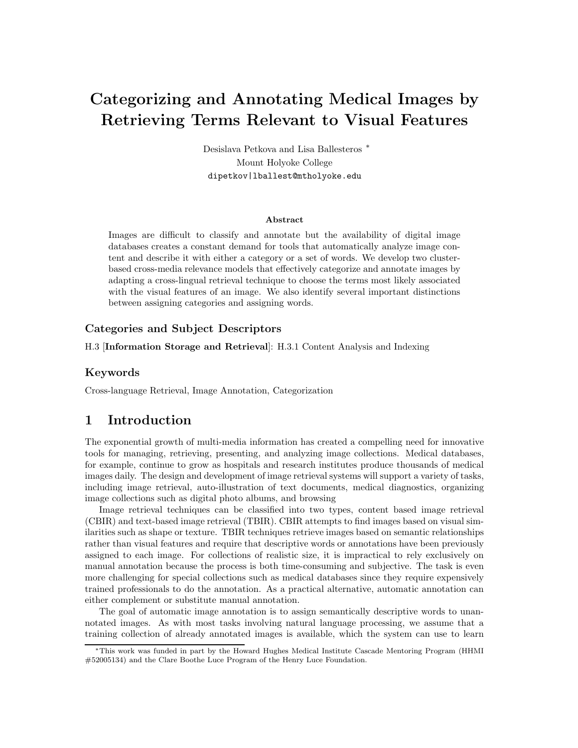# Categorizing and Annotating Medical Images by Retrieving Terms Relevant to Visual Features

Desislava Petkova and Lisa Ballesteros <sup>∗</sup> Mount Holyoke College dipetkov|lballest@mtholyoke.edu

#### Abstract

Images are difficult to classify and annotate but the availability of digital image databases creates a constant demand for tools that automatically analyze image content and describe it with either a category or a set of words. We develop two clusterbased cross-media relevance models that effectively categorize and annotate images by adapting a cross-lingual retrieval technique to choose the terms most likely associated with the visual features of an image. We also identify several important distinctions between assigning categories and assigning words.

#### Categories and Subject Descriptors

H.3 [Information Storage and Retrieval]: H.3.1 Content Analysis and Indexing

#### Keywords

Cross-language Retrieval, Image Annotation, Categorization

# 1 Introduction

The exponential growth of multi-media information has created a compelling need for innovative tools for managing, retrieving, presenting, and analyzing image collections. Medical databases, for example, continue to grow as hospitals and research institutes produce thousands of medical images daily. The design and development of image retrieval systems will support a variety of tasks, including image retrieval, auto-illustration of text documents, medical diagnostics, organizing image collections such as digital photo albums, and browsing

Image retrieval techniques can be classified into two types, content based image retrieval (CBIR) and text-based image retrieval (TBIR). CBIR attempts to find images based on visual similarities such as shape or texture. TBIR techniques retrieve images based on semantic relationships rather than visual features and require that descriptive words or annotations have been previously assigned to each image. For collections of realistic size, it is impractical to rely exclusively on manual annotation because the process is both time-consuming and subjective. The task is even more challenging for special collections such as medical databases since they require expensively trained professionals to do the annotation. As a practical alternative, automatic annotation can either complement or substitute manual annotation.

The goal of automatic image annotation is to assign semantically descriptive words to unannotated images. As with most tasks involving natural language processing, we assume that a training collection of already annotated images is available, which the system can use to learn

<sup>∗</sup>This work was funded in part by the Howard Hughes Medical Institute Cascade Mentoring Program (HHMI #52005134) and the Clare Boothe Luce Program of the Henry Luce Foundation.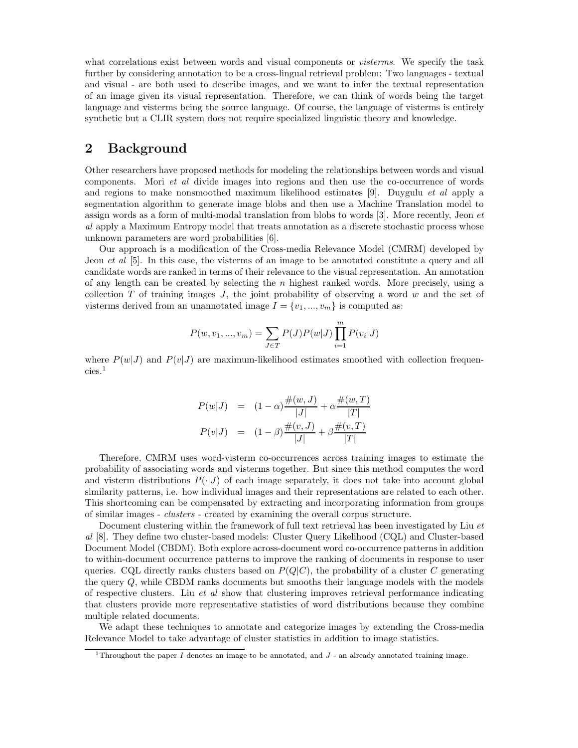what correlations exist between words and visual components or *visterms*. We specify the task further by considering annotation to be a cross-lingual retrieval problem: Two languages - textual and visual - are both used to describe images, and we want to infer the textual representation of an image given its visual representation. Therefore, we can think of words being the target language and visterms being the source language. Of course, the language of visterms is entirely synthetic but a CLIR system does not require specialized linguistic theory and knowledge.

## 2 Background

Other researchers have proposed methods for modeling the relationships between words and visual components. Mori et al divide images into regions and then use the co-occurrence of words and regions to make nonsmoothed maximum likelihood estimates [9]. Duygulu et al apply a segmentation algorithm to generate image blobs and then use a Machine Translation model to assign words as a form of multi-modal translation from blobs to words [3]. More recently, Jeon et al apply a Maximum Entropy model that treats annotation as a discrete stochastic process whose unknown parameters are word probabilities [6].

Our approach is a modification of the Cross-media Relevance Model (CMRM) developed by Jeon *et al* [5]. In this case, the visterms of an image to be annotated constitute a query and all candidate words are ranked in terms of their relevance to the visual representation. An annotation of any length can be created by selecting the n highest ranked words. More precisely, using a collection  $T$  of training images  $J$ , the joint probability of observing a word  $w$  and the set of visterms derived from an unannotated image  $I = \{v_1, ..., v_m\}$  is computed as:

$$
P(w, v_1, ..., v_m) = \sum_{J \in T} P(J)P(w|J) \prod_{i=1}^{m} P(v_i|J)
$$

where  $P(w|J)$  and  $P(v|J)$  are maximum-likelihood estimates smoothed with collection frequencies. 1

$$
P(w|J) = (1 - \alpha) \frac{\#(w, J)}{|J|} + \alpha \frac{\#(w, T)}{|T|}
$$

$$
P(v|J) = (1 - \beta) \frac{\#(v, J)}{|J|} + \beta \frac{\#(v, T)}{|T|}
$$

Therefore, CMRM uses word-visterm co-occurrences across training images to estimate the probability of associating words and visterms together. But since this method computes the word and visterm distributions  $P(\cdot|J)$  of each image separately, it does not take into account global similarity patterns, i.e. how individual images and their representations are related to each other. This shortcoming can be compensated by extracting and incorporating information from groups of similar images - clusters - created by examining the overall corpus structure.

Document clustering within the framework of full text retrieval has been investigated by Liu et al [8]. They define two cluster-based models: Cluster Query Likelihood (CQL) and Cluster-based Document Model (CBDM). Both explore across-document word co-occurrence patterns in addition to within-document occurrence patterns to improve the ranking of documents in response to user queries. CQL directly ranks clusters based on  $P(Q|C)$ , the probability of a cluster C generating the query  $Q$ , while CBDM ranks documents but smooths their language models with the models of respective clusters. Liu et al show that clustering improves retrieval performance indicating that clusters provide more representative statistics of word distributions because they combine multiple related documents.

We adapt these techniques to annotate and categorize images by extending the Cross-media Relevance Model to take advantage of cluster statistics in addition to image statistics.

<sup>&</sup>lt;sup>1</sup>Throughout the paper I denotes an image to be annotated, and  $J$  - an already annotated training image.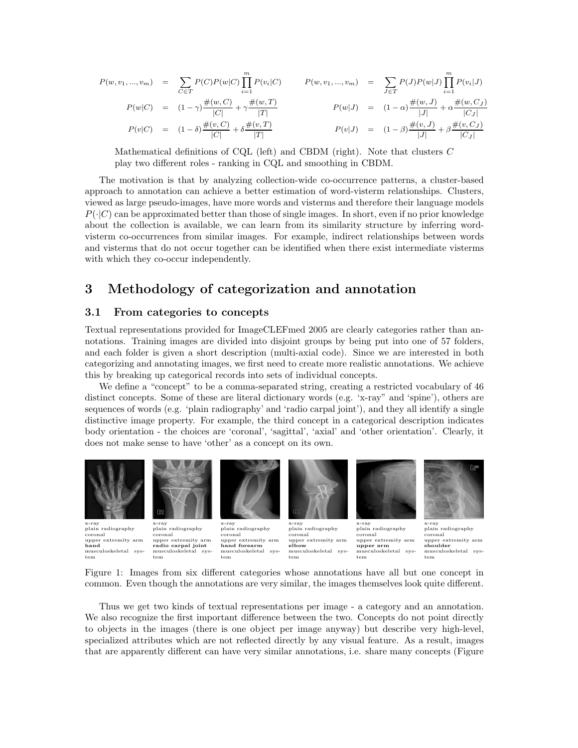$$
P(w, v_1, ..., v_m) = \sum_{C \in T} P(C)P(w|C) \prod_{i=1}^m P(v_i|C)
$$
  
\n
$$
P(w|C) = (1 - \gamma) \frac{\#(w, C)}{|C|} + \gamma \frac{\#(w, T)}{|T|}
$$
  
\n
$$
P(w|J) = (1 - \alpha) \frac{\#(w, J)}{|J|} + \alpha \frac{\#(w, C)}{|C|}
$$
  
\n
$$
P(v|C) = (1 - \delta) \frac{\#(v, C)}{|C|} + \delta \frac{\#(v, T)}{|T|}
$$
  
\n
$$
P(v|J) = (1 - \beta) \frac{\#(v, J)}{|J|} + \beta \frac{\#(v, C_J)}{|C_J|}
$$

Mathematical definitions of CQL (left) and CBDM (right). Note that clusters C play two different roles - ranking in CQL and smoothing in CBDM.

The motivation is that by analyzing collection-wide co-occurrence patterns, a cluster-based approach to annotation can achieve a better estimation of word-visterm relationships. Clusters, viewed as large pseudo-images, have more words and visterms and therefore their language models  $P(\cdot|C)$  can be approximated better than those of single images. In short, even if no prior knowledge about the collection is available, we can learn from its similarity structure by inferring wordvisterm co-occurrences from similar images. For example, indirect relationships between words and visterms that do not occur together can be identified when there exist intermediate visterms with which they co-occur independently.

# 3 Methodology of categorization and annotation

#### 3.1 From categories to concepts

Textual representations provided for ImageCLEFmed 2005 are clearly categories rather than annotations. Training images are divided into disjoint groups by being put into one of 57 folders, and each folder is given a short description (multi-axial code). Since we are interested in both categorizing and annotating images, we first need to create more realistic annotations. We achieve this by breaking up categorical records into sets of individual concepts.

We define a "concept" to be a comma-separated string, creating a restricted vocabulary of 46 distinct concepts. Some of these are literal dictionary words (e.g. 'x-ray" and 'spine'), others are sequences of words (e.g. 'plain radiography' and 'radio carpal joint'), and they all identify a single distinctive image property. For example, the third concept in a categorical description indicates body orientation - the choices are 'coronal', 'sagittal', 'axial' and 'other orientation'. Clearly, it does not make sense to have 'other' as a concept on its own.



Figure 1: Images from six different categories whose annotations have all but one concept in common. Even though the annotations are very similar, the images themselves look quite different.

Thus we get two kinds of textual representations per image - a category and an annotation. We also recognize the first important difference between the two. Concepts do not point directly to objects in the images (there is one object per image anyway) but describe very high-level, specialized attributes which are not reflected directly by any visual feature. As a result, images that are apparently different can have very similar annotations, i.e. share many concepts (Figure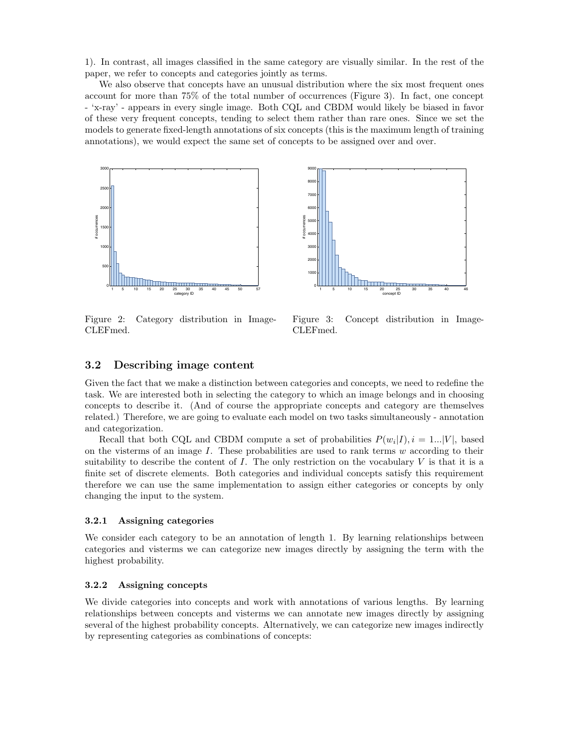1). In contrast, all images classified in the same category are visually similar. In the rest of the paper, we refer to concepts and categories jointly as terms.

We also observe that concepts have an unusual distribution where the six most frequent ones account for more than 75% of the total number of occurrences (Figure 3). In fact, one concept - 'x-ray' - appears in every single image. Both CQL and CBDM would likely be biased in favor of these very frequent concepts, tending to select them rather than rare ones. Since we set the models to generate fixed-length annotations of six concepts (this is the maximum length of training annotations), we would expect the same set of concepts to be assigned over and over.





Figure 2: Category distribution in Image-CLEFmed.

Figure 3: Concept distribution in Image-CLEFmed.

#### 3.2 Describing image content

Given the fact that we make a distinction between categories and concepts, we need to redefine the task. We are interested both in selecting the category to which an image belongs and in choosing concepts to describe it. (And of course the appropriate concepts and category are themselves related.) Therefore, we are going to evaluate each model on two tasks simultaneously - annotation and categorization.

Recall that both CQL and CBDM compute a set of probabilities  $P(w_i|I), i = 1...|V|$ , based on the visterms of an image  $I$ . These probabilities are used to rank terms  $w$  according to their suitability to describe the content of  $I$ . The only restriction on the vocabulary  $V$  is that it is a finite set of discrete elements. Both categories and individual concepts satisfy this requirement therefore we can use the same implementation to assign either categories or concepts by only changing the input to the system.

#### 3.2.1 Assigning categories

We consider each category to be an annotation of length 1. By learning relationships between categories and visterms we can categorize new images directly by assigning the term with the highest probability.

#### 3.2.2 Assigning concepts

We divide categories into concepts and work with annotations of various lengths. By learning relationships between concepts and visterms we can annotate new images directly by assigning several of the highest probability concepts. Alternatively, we can categorize new images indirectly by representing categories as combinations of concepts: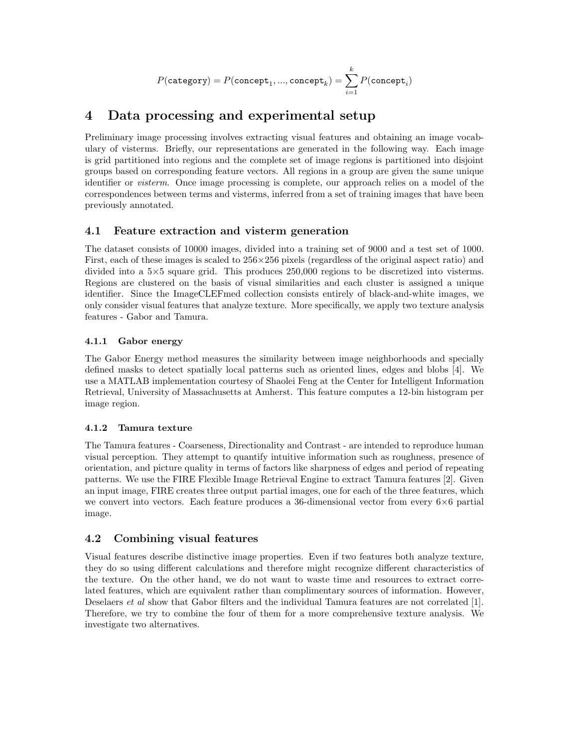$$
P(\texttt{category}) = P(\texttt{concept}_1, ..., \texttt{concept}_k) = \sum_{i=1}^k P(\texttt{concept}_i)
$$

# 4 Data processing and experimental setup

Preliminary image processing involves extracting visual features and obtaining an image vocabulary of visterms. Briefly, our representations are generated in the following way. Each image is grid partitioned into regions and the complete set of image regions is partitioned into disjoint groups based on corresponding feature vectors. All regions in a group are given the same unique identifier or visterm. Once image processing is complete, our approach relies on a model of the correspondences between terms and visterms, inferred from a set of training images that have been previously annotated.

### 4.1 Feature extraction and visterm generation

The dataset consists of 10000 images, divided into a training set of 9000 and a test set of 1000. First, each of these images is scaled to  $256 \times 256$  pixels (regardless of the original aspect ratio) and divided into a 5×5 square grid. This produces 250,000 regions to be discretized into visterms. Regions are clustered on the basis of visual similarities and each cluster is assigned a unique identifier. Since the ImageCLEFmed collection consists entirely of black-and-white images, we only consider visual features that analyze texture. More specifically, we apply two texture analysis features - Gabor and Tamura.

### 4.1.1 Gabor energy

The Gabor Energy method measures the similarity between image neighborhoods and specially defined masks to detect spatially local patterns such as oriented lines, edges and blobs [4]. We use a MATLAB implementation courtesy of Shaolei Feng at the Center for Intelligent Information Retrieval, University of Massachusetts at Amherst. This feature computes a 12-bin histogram per image region.

### 4.1.2 Tamura texture

The Tamura features - Coarseness, Directionality and Contrast - are intended to reproduce human visual perception. They attempt to quantify intuitive information such as roughness, presence of orientation, and picture quality in terms of factors like sharpness of edges and period of repeating patterns. We use the FIRE Flexible Image Retrieval Engine to extract Tamura features [2]. Given an input image, FIRE creates three output partial images, one for each of the three features, which we convert into vectors. Each feature produces a 36-dimensional vector from every  $6\times6$  partial image.

### 4.2 Combining visual features

Visual features describe distinctive image properties. Even if two features both analyze texture, they do so using different calculations and therefore might recognize different characteristics of the texture. On the other hand, we do not want to waste time and resources to extract correlated features, which are equivalent rather than complimentary sources of information. However, Deselaers *et al* show that Gabor filters and the individual Tamura features are not correlated [1]. Therefore, we try to combine the four of them for a more comprehensive texture analysis. We investigate two alternatives.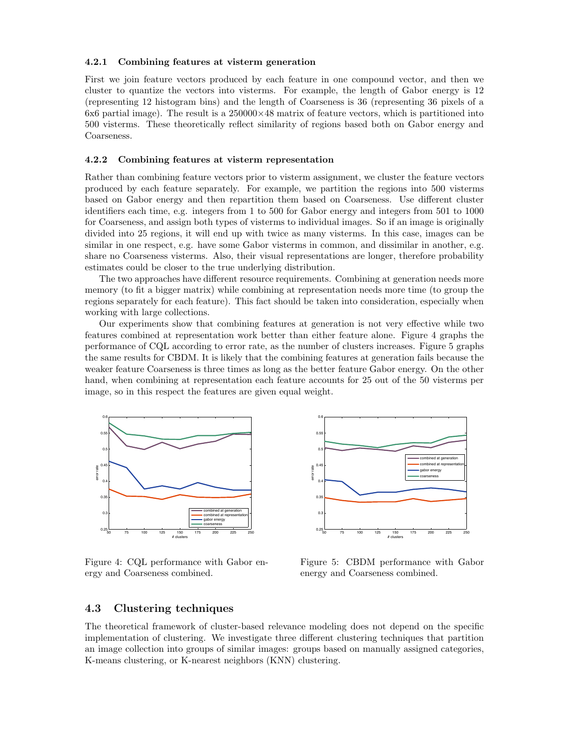#### 4.2.1 Combining features at visterm generation

First we join feature vectors produced by each feature in one compound vector, and then we cluster to quantize the vectors into visterms. For example, the length of Gabor energy is 12 (representing 12 histogram bins) and the length of Coarseness is 36 (representing 36 pixels of a 6x6 partial image). The result is a  $250000\times48$  matrix of feature vectors, which is partitioned into 500 visterms. These theoretically reflect similarity of regions based both on Gabor energy and Coarseness.

#### 4.2.2 Combining features at visterm representation

Rather than combining feature vectors prior to visterm assignment, we cluster the feature vectors produced by each feature separately. For example, we partition the regions into 500 visterms based on Gabor energy and then repartition them based on Coarseness. Use different cluster identifiers each time, e.g. integers from 1 to 500 for Gabor energy and integers from 501 to 1000 for Coarseness, and assign both types of visterms to individual images. So if an image is originally divided into 25 regions, it will end up with twice as many visterms. In this case, images can be similar in one respect, e.g. have some Gabor visterms in common, and dissimilar in another, e.g. share no Coarseness visterms. Also, their visual representations are longer, therefore probability estimates could be closer to the true underlying distribution.

The two approaches have different resource requirements. Combining at generation needs more memory (to fit a bigger matrix) while combining at representation needs more time (to group the regions separately for each feature). This fact should be taken into consideration, especially when working with large collections.

Our experiments show that combining features at generation is not very effective while two features combined at representation work better than either feature alone. Figure 4 graphs the performance of CQL according to error rate, as the number of clusters increases. Figure 5 graphs the same results for CBDM. It is likely that the combining features at generation fails because the weaker feature Coarseness is three times as long as the better feature Gabor energy. On the other hand, when combining at representation each feature accounts for 25 out of the 50 visterms per image, so in this respect the features are given equal weight.



Figure 4: CQL performance with Gabor energy and Coarseness combined.



Figure 5: CBDM performance with Gabor energy and Coarseness combined.

#### 4.3 Clustering techniques

The theoretical framework of cluster-based relevance modeling does not depend on the specific implementation of clustering. We investigate three different clustering techniques that partition an image collection into groups of similar images: groups based on manually assigned categories, K-means clustering, or K-nearest neighbors (KNN) clustering.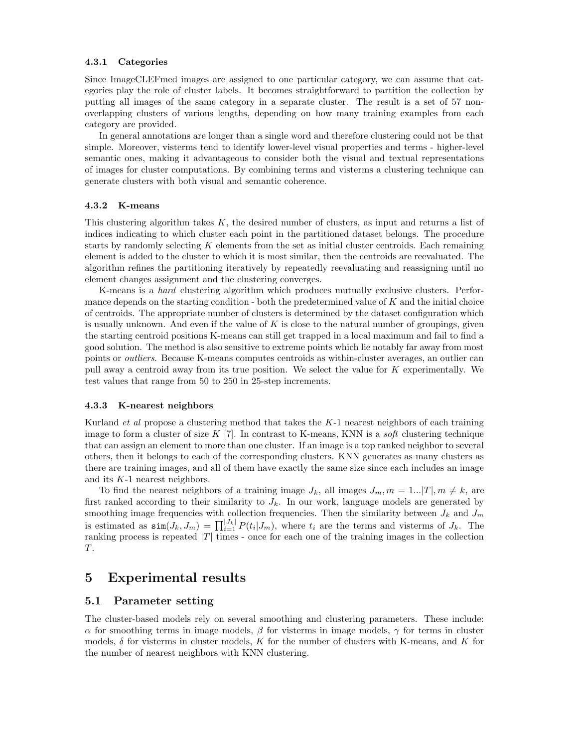#### 4.3.1 Categories

Since ImageCLEFmed images are assigned to one particular category, we can assume that categories play the role of cluster labels. It becomes straightforward to partition the collection by putting all images of the same category in a separate cluster. The result is a set of 57 nonoverlapping clusters of various lengths, depending on how many training examples from each category are provided.

In general annotations are longer than a single word and therefore clustering could not be that simple. Moreover, visterms tend to identify lower-level visual properties and terms - higher-level semantic ones, making it advantageous to consider both the visual and textual representations of images for cluster computations. By combining terms and visterms a clustering technique can generate clusters with both visual and semantic coherence.

#### 4.3.2 K-means

This clustering algorithm takes K, the desired number of clusters, as input and returns a list of indices indicating to which cluster each point in the partitioned dataset belongs. The procedure starts by randomly selecting  $K$  elements from the set as initial cluster centroids. Each remaining element is added to the cluster to which it is most similar, then the centroids are reevaluated. The algorithm refines the partitioning iteratively by repeatedly reevaluating and reassigning until no element changes assignment and the clustering converges.

K-means is a hard clustering algorithm which produces mutually exclusive clusters. Performance depends on the starting condition - both the predetermined value of  $K$  and the initial choice of centroids. The appropriate number of clusters is determined by the dataset configuration which is usually unknown. And even if the value of  $K$  is close to the natural number of groupings, given the starting centroid positions K-means can still get trapped in a local maximum and fail to find a good solution. The method is also sensitive to extreme points which lie notably far away from most points or outliers. Because K-means computes centroids as within-cluster averages, an outlier can pull away a centroid away from its true position. We select the value for K experimentally. We test values that range from 50 to 250 in 25-step increments.

#### 4.3.3 K-nearest neighbors

Kurland *et al* propose a clustering method that takes the  $K-1$  nearest neighbors of each training image to form a cluster of size K  $[7]$ . In contrast to K-means, KNN is a *soft* clustering technique that can assign an element to more than one cluster. If an image is a top ranked neighbor to several others, then it belongs to each of the corresponding clusters. KNN generates as many clusters as there are training images, and all of them have exactly the same size since each includes an image and its K-1 nearest neighbors.

To find the nearest neighbors of a training image  $J_k$ , all images  $J_m$ ,  $m = 1...|T|$ ,  $m \neq k$ , are first ranked according to their similarity to  $J_k$ . In our work, language models are generated by smoothing image frequencies with collection frequencies. Then the similarity between  $J_k$  and  $J_m$ is estimated as  $\sin(J_k, J_m) = \prod_{i=1}^{|J_k|} P(t_i | J_m)$ , where  $t_i$  are the terms and visterms of  $J_k$ . The ranking process is repeated  $|T|$  times - once for each one of the training images in the collection  $T.$ 

### 5 Experimental results

#### 5.1 Parameter setting

The cluster-based models rely on several smoothing and clustering parameters. These include:  $\alpha$  for smoothing terms in image models, β for visterms in image models, γ for terms in cluster models,  $\delta$  for visterms in cluster models, K for the number of clusters with K-means, and K for the number of nearest neighbors with KNN clustering.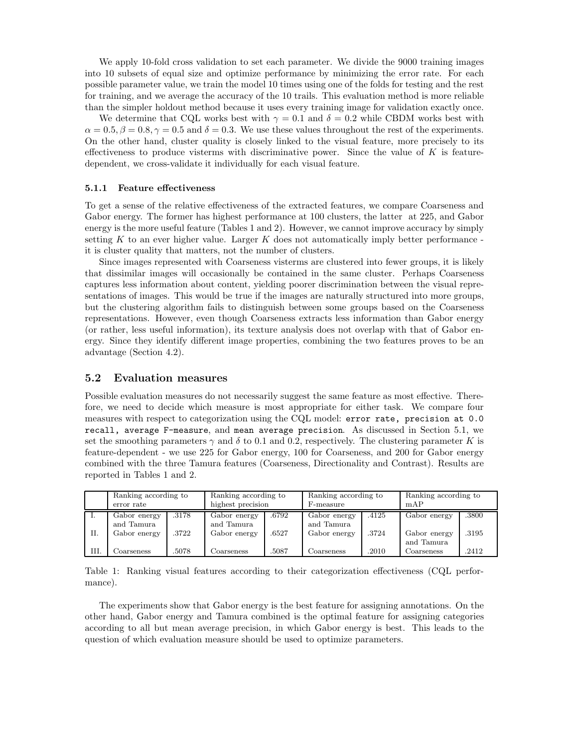We apply 10-fold cross validation to set each parameter. We divide the 9000 training images into 10 subsets of equal size and optimize performance by minimizing the error rate. For each possible parameter value, we train the model 10 times using one of the folds for testing and the rest for training, and we average the accuracy of the 10 trails. This evaluation method is more reliable than the simpler holdout method because it uses every training image for validation exactly once.

We determine that CQL works best with  $\gamma = 0.1$  and  $\delta = 0.2$  while CBDM works best with  $\alpha = 0.5, \beta = 0.8, \gamma = 0.5$  and  $\delta = 0.3$ . We use these values throughout the rest of the experiments. On the other hand, cluster quality is closely linked to the visual feature, more precisely to its effectiveness to produce visterms with discriminative power. Since the value of  $K$  is featuredependent, we cross-validate it individually for each visual feature.

#### 5.1.1 Feature effectiveness

To get a sense of the relative effectiveness of the extracted features, we compare Coarseness and Gabor energy. The former has highest performance at 100 clusters, the latter at 225, and Gabor energy is the more useful feature (Tables 1 and 2). However, we cannot improve accuracy by simply setting K to an ever higher value. Larger K does not automatically imply better performance it is cluster quality that matters, not the number of clusters.

Since images represented with Coarseness visterms are clustered into fewer groups, it is likely that dissimilar images will occasionally be contained in the same cluster. Perhaps Coarseness captures less information about content, yielding poorer discrimination between the visual representations of images. This would be true if the images are naturally structured into more groups, but the clustering algorithm fails to distinguish between some groups based on the Coarseness representations. However, even though Coarseness extracts less information than Gabor energy (or rather, less useful information), its texture analysis does not overlap with that of Gabor energy. Since they identify different image properties, combining the two features proves to be an advantage (Section 4.2).

#### 5.2 Evaluation measures

Possible evaluation measures do not necessarily suggest the same feature as most effective. Therefore, we need to decide which measure is most appropriate for either task. We compare four measures with respect to categorization using the CQL model: error rate, precision at 0.0 recall, average F-measure, and mean average precision. As discussed in Section 5.1, we set the smoothing parameters  $\gamma$  and  $\delta$  to 0.1 and 0.2, respectively. The clustering parameter K is feature-dependent - we use 225 for Gabor energy, 100 for Coarseness, and 200 for Gabor energy combined with the three Tamura features (Coarseness, Directionality and Contrast). Results are reported in Tables 1 and 2.

|      | Ranking according to |                                | Ranking according to |       | Ranking according to |       | Ranking according to       |       |
|------|----------------------|--------------------------------|----------------------|-------|----------------------|-------|----------------------------|-------|
|      | error rate           | highest precision<br>F-measure |                      | mAP   |                      |       |                            |       |
| -1.  | Gabor energy         | .3178                          | Gabor energy         | .6792 | Gabor energy         | .4125 | Gabor energy               | .3800 |
|      | and Tamura           |                                | and Tamura           |       | and Tamura           |       |                            |       |
| II.  | Gabor energy         | .3722                          | Gabor energy         | .6527 | Gabor energy         | .3724 | Gabor energy<br>and Tamura | .3195 |
| III. | Coarseness           | .5078                          | Coarseness           | .5087 | Coarseness           | .2010 | Coarseness                 | .2412 |

Table 1: Ranking visual features according to their categorization effectiveness (CQL performance).

The experiments show that Gabor energy is the best feature for assigning annotations. On the other hand, Gabor energy and Tamura combined is the optimal feature for assigning categories according to all but mean average precision, in which Gabor energy is best. This leads to the question of which evaluation measure should be used to optimize parameters.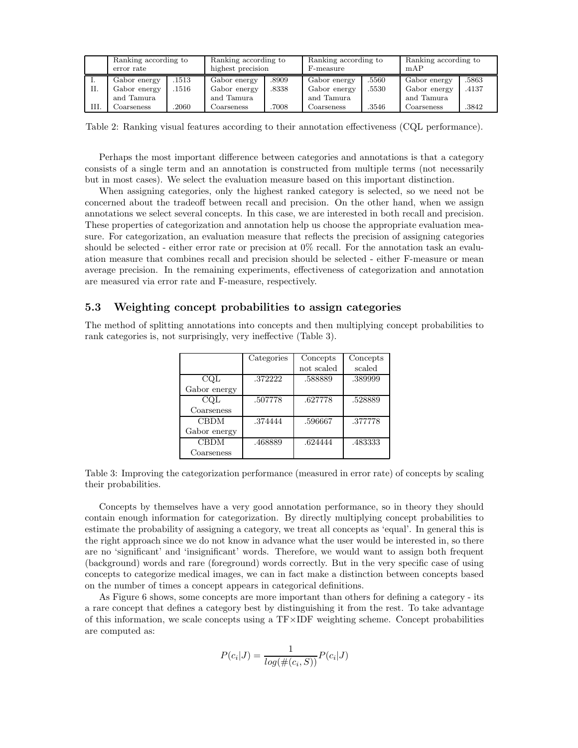|    | Ranking according to<br>error rate |      |              | Ranking according to<br>highest precision |              | Ranking according to<br>F-measure |              | Ranking according to<br>mAP |  |
|----|------------------------------------|------|--------------|-------------------------------------------|--------------|-----------------------------------|--------------|-----------------------------|--|
|    | Gabor energy                       | 1513 | Gabor energy | .8909                                     | Gabor energy | .5560                             | Gabor energy | .5863                       |  |
| П. | Gabor energy                       | 1516 | Gabor energy | .8338                                     | Gabor energy | .5530                             | Gabor energy | .4137                       |  |
|    | and Tamura                         |      | and Tamura   |                                           | and Tamura   |                                   | and Tamura   |                             |  |
| Ш. | Coarseness                         | 2060 | Coarseness   | 7008                                      | Coarseness   | .3546                             | Coarseness   | .3842                       |  |

Table 2: Ranking visual features according to their annotation effectiveness (CQL performance).

Perhaps the most important difference between categories and annotations is that a category consists of a single term and an annotation is constructed from multiple terms (not necessarily but in most cases). We select the evaluation measure based on this important distinction.

When assigning categories, only the highest ranked category is selected, so we need not be concerned about the tradeoff between recall and precision. On the other hand, when we assign annotations we select several concepts. In this case, we are interested in both recall and precision. These properties of categorization and annotation help us choose the appropriate evaluation measure. For categorization, an evaluation measure that reflects the precision of assigning categories should be selected - either error rate or precision at 0% recall. For the annotation task an evaluation measure that combines recall and precision should be selected - either F-measure or mean average precision. In the remaining experiments, effectiveness of categorization and annotation are measured via error rate and F-measure, respectively.

### 5.3 Weighting concept probabilities to assign categories

The method of splitting annotations into concepts and then multiplying concept probabilities to rank categories is, not surprisingly, very ineffective (Table 3).

|              | Categories | Concepts   | Concepts |
|--------------|------------|------------|----------|
|              |            | not scaled | scaled   |
| CQL          | .372222    | .588889    | .389999  |
| Gabor energy |            |            |          |
| COL          | .507778    | .627778    | .528889  |
| Coarseness   |            |            |          |
| <b>CBDM</b>  | .374444    | .596667    | .377778  |
| Gabor energy |            |            |          |
| <b>CBDM</b>  | .468889    | .624444    | .483333  |
| Coarseness   |            |            |          |

Table 3: Improving the categorization performance (measured in error rate) of concepts by scaling their probabilities.

Concepts by themselves have a very good annotation performance, so in theory they should contain enough information for categorization. By directly multiplying concept probabilities to estimate the probability of assigning a category, we treat all concepts as 'equal'. In general this is the right approach since we do not know in advance what the user would be interested in, so there are no 'significant' and 'insignificant' words. Therefore, we would want to assign both frequent (background) words and rare (foreground) words correctly. But in the very specific case of using concepts to categorize medical images, we can in fact make a distinction between concepts based on the number of times a concept appears in categorical definitions.

As Figure 6 shows, some concepts are more important than others for defining a category - its a rare concept that defines a category best by distinguishing it from the rest. To take advantage of this information, we scale concepts using a  $TF \times IDF$  weighting scheme. Concept probabilities are computed as:

$$
P(c_i|J) = \frac{1}{log(\#(c_i, S))} P(c_i|J)
$$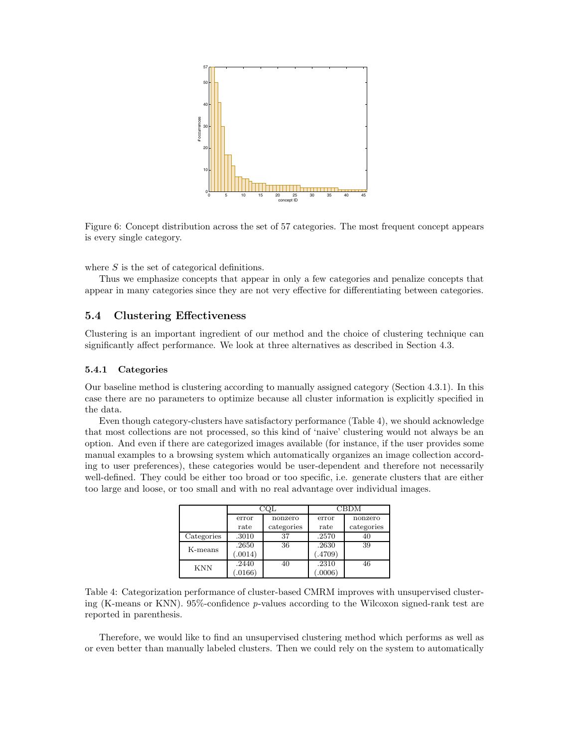

Figure 6: Concept distribution across the set of 57 categories. The most frequent concept appears is every single category.

where  $S$  is the set of categorical definitions.

Thus we emphasize concepts that appear in only a few categories and penalize concepts that appear in many categories since they are not very effective for differentiating between categories.

#### 5.4 Clustering Effectiveness

Clustering is an important ingredient of our method and the choice of clustering technique can significantly affect performance. We look at three alternatives as described in Section 4.3.

#### 5.4.1 Categories

Our baseline method is clustering according to manually assigned category (Section 4.3.1). In this case there are no parameters to optimize because all cluster information is explicitly specified in the data.

Even though category-clusters have satisfactory performance (Table 4), we should acknowledge that most collections are not processed, so this kind of 'naive' clustering would not always be an option. And even if there are categorized images available (for instance, if the user provides some manual examples to a browsing system which automatically organizes an image collection according to user preferences), these categories would be user-dependent and therefore not necessarily well-defined. They could be either too broad or too specific, i.e. generate clusters that are either too large and loose, or too small and with no real advantage over individual images.

|            |        |            | CBDM   |            |  |
|------------|--------|------------|--------|------------|--|
|            | error  | nonzero    | error  | nonzero    |  |
|            | rate   | categories | rate   | categories |  |
| Categories | .3010  | 37         | .2570  | 40         |  |
| K-means    | .2650  | 36         | .2630  | 39         |  |
|            | .0014) |            | .4709) |            |  |
| <b>KNN</b> | .2440  | 40         | .2310  | 46         |  |
|            | .0166) |            | .0006) |            |  |

Table 4: Categorization performance of cluster-based CMRM improves with unsupervised clustering (K-means or KNN). 95%-confidence p-values according to the Wilcoxon signed-rank test are reported in parenthesis.

Therefore, we would like to find an unsupervised clustering method which performs as well as or even better than manually labeled clusters. Then we could rely on the system to automatically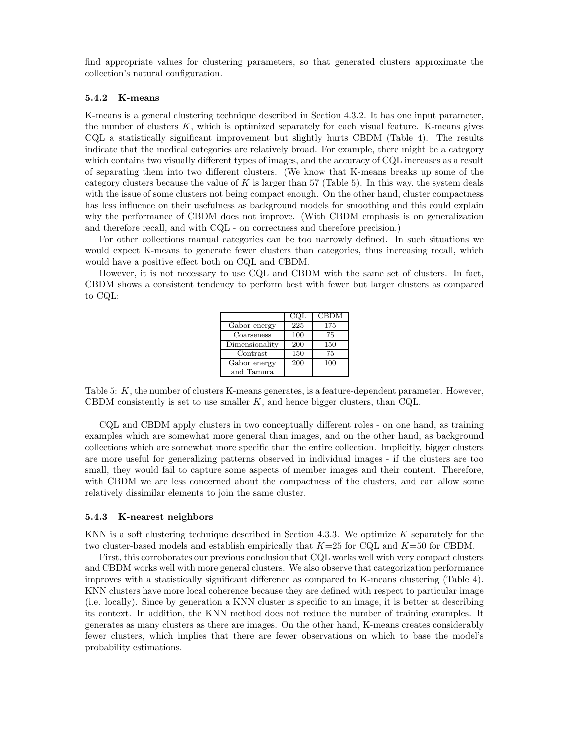find appropriate values for clustering parameters, so that generated clusters approximate the collection's natural configuration.

#### 5.4.2 K-means

K-means is a general clustering technique described in Section 4.3.2. It has one input parameter, the number of clusters  $K$ , which is optimized separately for each visual feature. K-means gives CQL a statistically significant improvement but slightly hurts CBDM (Table 4). The results indicate that the medical categories are relatively broad. For example, there might be a category which contains two visually different types of images, and the accuracy of CQL increases as a result of separating them into two different clusters. (We know that K-means breaks up some of the category clusters because the value of K is larger than 57 (Table 5). In this way, the system deals with the issue of some clusters not being compact enough. On the other hand, cluster compactness has less influence on their usefulness as background models for smoothing and this could explain why the performance of CBDM does not improve. (With CBDM emphasis is on generalization and therefore recall, and with CQL - on correctness and therefore precision.)

For other collections manual categories can be too narrowly defined. In such situations we would expect K-means to generate fewer clusters than categories, thus increasing recall, which would have a positive effect both on CQL and CBDM.

However, it is not necessary to use CQL and CBDM with the same set of clusters. In fact, CBDM shows a consistent tendency to perform best with fewer but larger clusters as compared to CQL:

|                | COL | <b>CBDM</b> |
|----------------|-----|-------------|
| Gabor energy   | 225 | 175         |
| Coarseness     | 100 | 75          |
| Dimensionality | 200 | 150         |
| Contrast       | 150 | 75          |
| Gabor energy   | 200 | 100         |
| and Tamura     |     |             |

Table 5: K, the number of clusters K-means generates, is a feature-dependent parameter. However, CBDM consistently is set to use smaller  $K$ , and hence bigger clusters, than CQL.

CQL and CBDM apply clusters in two conceptually different roles - on one hand, as training examples which are somewhat more general than images, and on the other hand, as background collections which are somewhat more specific than the entire collection. Implicitly, bigger clusters are more useful for generalizing patterns observed in individual images - if the clusters are too small, they would fail to capture some aspects of member images and their content. Therefore, with CBDM we are less concerned about the compactness of the clusters, and can allow some relatively dissimilar elements to join the same cluster.

#### 5.4.3 K-nearest neighbors

KNN is a soft clustering technique described in Section 4.3.3. We optimize  $K$  separately for the two cluster-based models and establish empirically that  $K=25$  for CQL and  $K=50$  for CBDM.

First, this corroborates our previous conclusion that CQL works well with very compact clusters and CBDM works well with more general clusters. We also observe that categorization performance improves with a statistically significant difference as compared to K-means clustering (Table 4). KNN clusters have more local coherence because they are defined with respect to particular image (i.e. locally). Since by generation a KNN cluster is specific to an image, it is better at describing its context. In addition, the KNN method does not reduce the number of training examples. It generates as many clusters as there are images. On the other hand, K-means creates considerably fewer clusters, which implies that there are fewer observations on which to base the model's probability estimations.